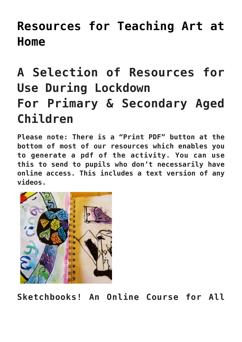## **[Resources for Teaching Art at](https://www.accessart.org.uk/resources-for-teaching-art-at-home/) [Home](https://www.accessart.org.uk/resources-for-teaching-art-at-home/)**

# **A Selection of Resources for Use During Lockdown For Primary & Secondary Aged Children**

**Please note: There is a "Print PDF" button at the bottom of most of our resources which enables you to generate a pdf of the activity. You can use this to send to pupils who don't necessarily have online access. This includes a text version of any videos.** 



**Sketchbooks! An Online Course for All**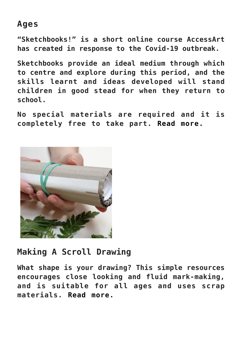#### **Ages**

**"Sketchbooks!" is a short online course AccessArt has created in response to the Covid-19 outbreak.**

**Sketchbooks provide an ideal medium through which to centre and explore during this period, and the skills learnt and ideas developed will stand children in good stead for when they return to school.** 

**No special materials are required and it is completely free to take part. [Read more.](https://www.accessart.org.uk/sketchbooks-an-online-course-for-children-families-parents-teachers/)**



### **Making A Scroll Drawing**

**What shape is your drawing? This simple resources encourages close looking and fluid mark-making, and is suitable for all ages and uses scrap materials. [Read more.](https://www.accessart.org.uk/scroll-drawing/)**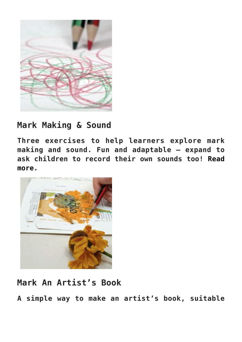

### **Mark Making & Sound**

**Three exercises to help learners explore mark making and sound. Fun and adaptable – expand to ask children to record their own sounds too! [Read](https://www.accessart.org.uk/mark-making-sound/) [more.](https://www.accessart.org.uk/mark-making-sound/)** 



### **Mark An Artist's Book**

**A simple way to make an artist's book, suitable**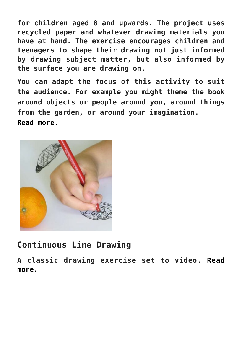**for children aged 8 and upwards. The project uses recycled paper and whatever drawing materials you have at hand. The exercise encourages children and teenagers to shape their drawing not just informed by drawing subject matter, but also informed by the surface you are drawing on.**

**You can adapt the focus of this activity to suit the audience. For example you might theme the book around objects or people around you, around things from the garden, or around your imagination. [Read more.](https://www.accessart.org.uk/making-an-artists-book/)** 



### **Continuous Line Drawing**

**A classic drawing exercise set to video. [Read](https://www.accessart.org.uk/continuous-line-drawing-exercise/) [more.](https://www.accessart.org.uk/continuous-line-drawing-exercise/)**